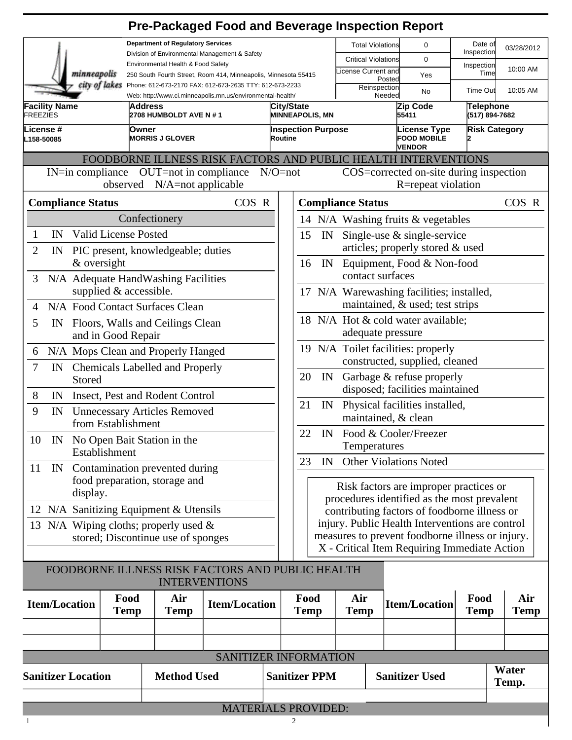|                                                                                                                                        |                                                                                |                    | <b>Pre-Packaged Food and Beverage Inspection Report</b>                  |                                      |                                                                                                                                                                                          |    |                            |                                                            |                                    |                      |                    |
|----------------------------------------------------------------------------------------------------------------------------------------|--------------------------------------------------------------------------------|--------------------|--------------------------------------------------------------------------|--------------------------------------|------------------------------------------------------------------------------------------------------------------------------------------------------------------------------------------|----|----------------------------|------------------------------------------------------------|------------------------------------|----------------------|--------------------|
| <b>Department of Regulatory Services</b>                                                                                               |                                                                                |                    |                                                                          |                                      |                                                                                                                                                                                          |    | <b>Total Violations</b>    | 0                                                          |                                    | Date of              | 03/28/2012         |
| Division of Environmental Management & Safety<br>Environmental Health & Food Safety                                                    |                                                                                |                    |                                                                          |                                      |                                                                                                                                                                                          |    | <b>Critical Violations</b> | 0                                                          | Inspection                         |                      |                    |
|                                                                                                                                        | minneapolis<br>250 South Fourth Street, Room 414, Minneapolis, Minnesota 55415 |                    |                                                                          |                                      |                                                                                                                                                                                          |    | icense Current and         | Yes<br>Posted                                              | Inspection                         | Time                 | 10:00 AM           |
| city of lakes<br>Phone: 612-673-2170 FAX: 612-673-2635 TTY: 612-673-2233<br>Web: http://www.ci.minneapolis.mn.us/environmental-health/ |                                                                                |                    |                                                                          |                                      |                                                                                                                                                                                          |    | Reinspection               | No<br>Needed                                               |                                    | <b>Time Out</b>      | 10:05 AM           |
| <b>Facility Name</b><br>Address<br><b>FREEZIES</b><br>2708 HUMBOLDT AVE N # 1                                                          |                                                                                |                    |                                                                          | City/State<br><b>MINNEAPOLIS, MN</b> |                                                                                                                                                                                          |    | Zip Code<br>55411          |                                                            | <b>Telephone</b><br>(517) 894-7682 |                      |                    |
| License #<br>L158-50085                                                                                                                | Owner<br><b>MORRIS J GLOVER</b>                                                |                    |                                                                          | Routine                              | <b>Inspection Purpose</b>                                                                                                                                                                |    |                            | <b>License Type</b><br><b>FOOD MOBILE</b><br><b>VENDOR</b> |                                    | <b>Risk Category</b> |                    |
|                                                                                                                                        |                                                                                |                    | FOODBORNE ILLNESS RISK FACTORS AND PUBLIC HEALTH INTERVENTIONS           |                                      |                                                                                                                                                                                          |    |                            |                                                            |                                    |                      |                    |
| IN=in compliance OUT=not in compliance<br>$N/O = not$<br>observed N/A=not applicable                                                   |                                                                                |                    |                                                                          |                                      | COS=corrected on-site during inspection<br>R=repeat violation                                                                                                                            |    |                            |                                                            |                                    |                      |                    |
| <b>Compliance Status</b>                                                                                                               |                                                                                |                    | COS R                                                                    |                                      |                                                                                                                                                                                          |    | <b>Compliance Status</b>   |                                                            |                                    |                      | COS R              |
|                                                                                                                                        | Confectionery                                                                  |                    |                                                                          |                                      | 14 N/A Washing fruits & vegetables                                                                                                                                                       |    |                            |                                                            |                                    |                      |                    |
| IN<br>1                                                                                                                                | <b>Valid License Posted</b>                                                    |                    |                                                                          |                                      | Single-use $\&$ single-service<br>15<br>IN                                                                                                                                               |    |                            |                                                            |                                    |                      |                    |
| $\overline{2}$<br>IN                                                                                                                   | PIC present, knowledgeable; duties                                             |                    |                                                                          |                                      |                                                                                                                                                                                          |    |                            | articles; properly stored & used                           |                                    |                      |                    |
|                                                                                                                                        | & oversight                                                                    |                    |                                                                          |                                      | 16                                                                                                                                                                                       | IN |                            | Equipment, Food & Non-food                                 |                                    |                      |                    |
| 3                                                                                                                                      | N/A Adequate HandWashing Facilities                                            |                    |                                                                          |                                      |                                                                                                                                                                                          |    | contact surfaces           |                                                            |                                    |                      |                    |
|                                                                                                                                        | supplied & accessible.                                                         |                    |                                                                          |                                      | 17 N/A Warewashing facilities; installed,                                                                                                                                                |    |                            |                                                            |                                    |                      |                    |
| 4                                                                                                                                      | N/A Food Contact Surfaces Clean                                                |                    |                                                                          |                                      | maintained, & used; test strips                                                                                                                                                          |    |                            |                                                            |                                    |                      |                    |
| 5<br>Floors, Walls and Ceilings Clean<br>IN                                                                                            |                                                                                |                    |                                                                          |                                      | 18 N/A Hot & cold water available;<br>adequate pressure                                                                                                                                  |    |                            |                                                            |                                    |                      |                    |
| and in Good Repair                                                                                                                     |                                                                                |                    |                                                                          |                                      | 19 N/A Toilet facilities: properly                                                                                                                                                       |    |                            |                                                            |                                    |                      |                    |
| N/A Mops Clean and Properly Hanged<br>6                                                                                                |                                                                                |                    |                                                                          |                                      | constructed, supplied, cleaned                                                                                                                                                           |    |                            |                                                            |                                    |                      |                    |
| 7<br>IN Chemicals Labelled and Properly<br>Stored                                                                                      |                                                                                |                    |                                                                          |                                      | Garbage & refuse properly<br>20<br>IN                                                                                                                                                    |    |                            |                                                            |                                    |                      |                    |
| 8<br>IN Insect, Pest and Rodent Control                                                                                                |                                                                                |                    |                                                                          |                                      | disposed; facilities maintained                                                                                                                                                          |    |                            |                                                            |                                    |                      |                    |
| 9<br><b>Unnecessary Articles Removed</b><br>IN<br>from Establishment                                                                   |                                                                                |                    |                                                                          |                                      | 21<br>Physical facilities installed,<br>IN<br>maintained, & clean                                                                                                                        |    |                            |                                                            |                                    |                      |                    |
| 10 IN No Open Bait Station in the                                                                                                      |                                                                                |                    |                                                                          |                                      | 22<br>IN Food & Cooler/Freezer                                                                                                                                                           |    |                            |                                                            |                                    |                      |                    |
| Establishment                                                                                                                          |                                                                                |                    |                                                                          |                                      | Temperatures                                                                                                                                                                             |    |                            |                                                            |                                    |                      |                    |
| IN Contamination prevented during<br>11                                                                                                |                                                                                |                    |                                                                          |                                      | <b>Other Violations Noted</b><br>23<br>IN                                                                                                                                                |    |                            |                                                            |                                    |                      |                    |
| food preparation, storage and                                                                                                          |                                                                                |                    |                                                                          |                                      | Risk factors are improper practices or<br>procedures identified as the most prevalent<br>contributing factors of foodborne illness or<br>injury. Public Health Interventions are control |    |                            |                                                            |                                    |                      |                    |
| display.                                                                                                                               |                                                                                |                    |                                                                          |                                      |                                                                                                                                                                                          |    |                            |                                                            |                                    |                      |                    |
| 12 N/A Sanitizing Equipment & Utensils                                                                                                 |                                                                                |                    |                                                                          |                                      |                                                                                                                                                                                          |    |                            |                                                            |                                    |                      |                    |
| 13 N/A Wiping cloths; properly used $\&$                                                                                               |                                                                                |                    |                                                                          |                                      |                                                                                                                                                                                          |    |                            |                                                            |                                    |                      |                    |
| stored; Discontinue use of sponges                                                                                                     |                                                                                |                    |                                                                          |                                      | measures to prevent foodborne illness or injury.<br>X - Critical Item Requiring Immediate Action                                                                                         |    |                            |                                                            |                                    |                      |                    |
|                                                                                                                                        |                                                                                |                    |                                                                          |                                      |                                                                                                                                                                                          |    |                            |                                                            |                                    |                      |                    |
|                                                                                                                                        |                                                                                |                    | FOODBORNE ILLNESS RISK FACTORS AND PUBLIC HEALTH<br><b>INTERVENTIONS</b> |                                      |                                                                                                                                                                                          |    |                            |                                                            |                                    |                      |                    |
| <b>Item/Location</b>                                                                                                                   | Food<br><b>Temp</b>                                                            | Air<br><b>Temp</b> | <b>Item/Location</b>                                                     |                                      | Food<br><b>Temp</b>                                                                                                                                                                      |    | Air<br><b>Temp</b>         | <b>Item/Location</b>                                       |                                    | Food<br><b>Temp</b>  | Air<br><b>Temp</b> |
|                                                                                                                                        |                                                                                |                    |                                                                          |                                      |                                                                                                                                                                                          |    |                            |                                                            |                                    |                      |                    |
|                                                                                                                                        |                                                                                |                    |                                                                          |                                      |                                                                                                                                                                                          |    |                            |                                                            |                                    |                      |                    |
|                                                                                                                                        |                                                                                |                    | SANITIZER INFORMATION                                                    |                                      |                                                                                                                                                                                          |    |                            |                                                            |                                    |                      |                    |
|                                                                                                                                        |                                                                                |                    |                                                                          |                                      |                                                                                                                                                                                          |    |                            |                                                            |                                    |                      |                    |

| <b>Sanitizer Location</b> | <b>Method Used</b> | <b>Sanitizer PPM</b> | <b>Sanitizer Used</b> | Water<br>Temp. |  |
|---------------------------|--------------------|----------------------|-----------------------|----------------|--|
|                           |                    |                      |                       |                |  |
|                           |                    | MATEDIAI C DDAVIDED. |                       |                |  |

MATERIALS PROVIDED: